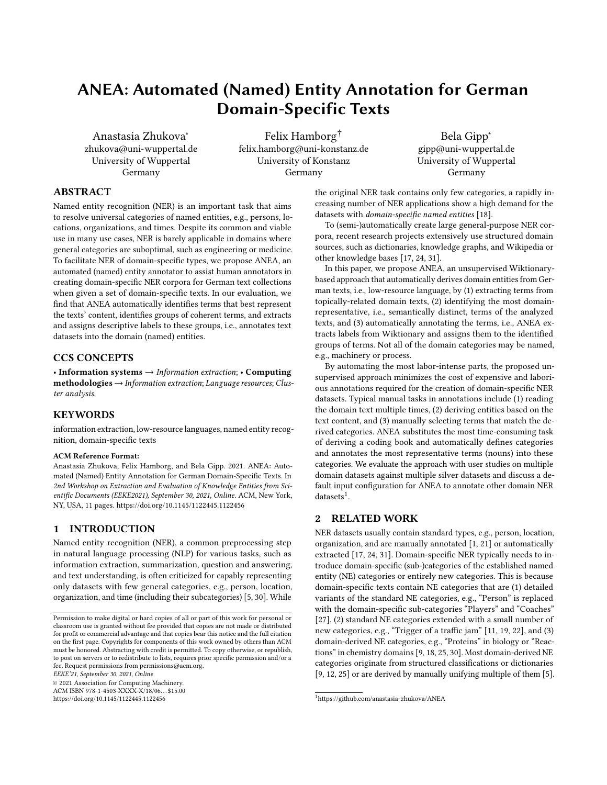# ANEA: Automated (Named) Entity Annotation for German Domain-Specific Texts

[Anastasia Zhukova](https://orcid.org/0000-0001-9084-2890)<sup>∗</sup> zhukova@uni-wuppertal.de University of Wuppertal Germany

Felix Hamborg† felix.hamborg@uni-konstanz.de University of Konstanz Germany

Bela Gipp<sup>∗</sup> gipp@uni-wuppertal.de University of Wuppertal Germany

# ABSTRACT

Named entity recognition (NER) is an important task that aims to resolve universal categories of named entities, e.g., persons, locations, organizations, and times. Despite its common and viable use in many use cases, NER is barely applicable in domains where general categories are suboptimal, such as engineering or medicine. To facilitate NER of domain-specific types, we propose ANEA, an automated (named) entity annotator to assist human annotators in creating domain-specific NER corpora for German text collections when given a set of domain-specific texts. In our evaluation, we find that ANEA automatically identifies terms that best represent the texts' content, identifies groups of coherent terms, and extracts and assigns descriptive labels to these groups, i.e., annotates text datasets into the domain (named) entities.

## CCS CONCEPTS

• Information systems  $\rightarrow$  Information extraction; • Computing methodologies → Information extraction; Language resources; Cluster analysis.

## **KEYWORDS**

information extraction, low-resource languages, named entity recognition, domain-specific texts

#### ACM Reference Format:

Anastasia Zhukova, Felix Hamborg, and Bela Gipp. 2021. ANEA: Automated (Named) Entity Annotation for German Domain-Specific Texts. In 2nd Workshop on Extraction and Evaluation of Knowledge Entities from Scientific Documents (EEKE2021), September 30, 2021, Online. ACM, New York, NY, USA, [11](#page-10-0) pages.<https://doi.org/10.1145/1122445.1122456>

# 1 INTRODUCTION

Named entity recognition (NER), a common preprocessing step in natural language processing (NLP) for various tasks, such as information extraction, summarization, question and answering, and text understanding, is often criticized for capably representing only datasets with few general categories, e.g., person, location, organization, and time (including their subcategories) [\[5,](#page-9-0) [30\]](#page-10-1). While

EEKE'21, September 30, 2021, Online

© 2021 Association for Computing Machinery.

ACM ISBN 978-1-4503-XXXX-X/18/06. . . \$15.00 <https://doi.org/10.1145/1122445.1122456>

the original NER task contains only few categories, a rapidly increasing number of NER applications show a high demand for the datasets with domain-specific named entities [\[18\]](#page-9-1).

To (semi-)automatically create large general-purpose NER corpora, recent research projects extensively use structured domain sources, such as dictionaries, knowledge graphs, and Wikipedia or other knowledge bases [\[17,](#page-9-2) [24,](#page-10-2) [31\]](#page-10-3).

In this paper, we propose ANEA, an unsupervised Wiktionarybased approach that automatically derives domain entities from German texts, i.e., low-resource language, by (1) extracting terms from topically-related domain texts, (2) identifying the most domainrepresentative, i.e., semantically distinct, terms of the analyzed texts, and (3) automatically annotating the terms, i.e., ANEA extracts labels from Wiktionary and assigns them to the identified groups of terms. Not all of the domain categories may be named, e.g., machinery or process.

By automating the most labor-intense parts, the proposed unsupervised approach minimizes the cost of expensive and laborious annotations required for the creation of domain-specific NER datasets. Typical manual tasks in annotations include (1) reading the domain text multiple times, (2) deriving entities based on the text content, and (3) manually selecting terms that match the derived categories. ANEA substitutes the most time-consuming task of deriving a coding book and automatically defines categories and annotates the most representative terms (nouns) into these categories. We evaluate the approach with user studies on multiple domain datasets against multiple silver datasets and discuss a default input configuration for ANEA to annotate other domain NER  $datasets<sup>1</sup>$  $datasets<sup>1</sup>$  $datasets<sup>1</sup>$ .

# 2 RELATED WORK

NER datasets usually contain standard types, e.g., person, location, organization, and are manually annotated [\[1,](#page-9-3) [21\]](#page-9-4) or automatically extracted [\[17,](#page-9-2) [24,](#page-10-2) [31\]](#page-10-3). Domain-specific NER typically needs to introduce domain-specific (sub-)categories of the established named entity (NE) categories or entirely new categories. This is because domain-specific texts contain NE categories that are (1) detailed variants of the standard NE categories, e.g., "Person" is replaced with the domain-specific sub-categories "Players" and "Coaches" [\[27\]](#page-10-4), (2) standard NE categories extended with a small number of new categories, e.g., "Trigger of a traffic jam" [\[11,](#page-9-5) [19,](#page-9-6) [22\]](#page-9-7), and (3) domain-derived NE categories, e.g., "Proteins" in biology or "Reactions" in chemistry domains [\[9,](#page-9-8) [18,](#page-9-1) [25,](#page-10-5) [30\]](#page-10-1). Most domain-derived NE categories originate from structured classifications or dictionaries [\[9,](#page-9-8) [12,](#page-9-9) [25\]](#page-10-5) or are derived by manually unifying multiple of them [\[5\]](#page-9-0).

Permission to make digital or hard copies of all or part of this work for personal or classroom use is granted without fee provided that copies are not made or distributed for profit or commercial advantage and that copies bear this notice and the full citation on the first page. Copyrights for components of this work owned by others than ACM must be honored. Abstracting with credit is permitted. To copy otherwise, or republish, to post on servers or to redistribute to lists, requires prior specific permission and/or a fee. Request permissions from permissions@acm.org.

<span id="page-0-0"></span><sup>1</sup><https://github.com/anastasia-zhukova/ANEA>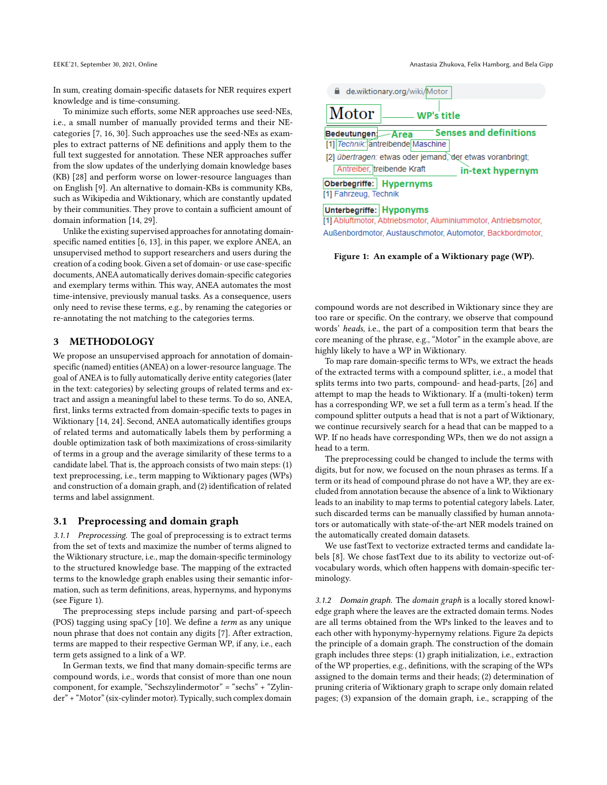In sum, creating domain-specific datasets for NER requires expert knowledge and is time-consuming.

To minimize such efforts, some NER approaches use seed-NEs, i.e., a small number of manually provided terms and their NEcategories [\[7,](#page-9-10) [16,](#page-9-11) [30\]](#page-10-1). Such approaches use the seed-NEs as examples to extract patterns of NE definitions and apply them to the full text suggested for annotation. These NER approaches suffer from the slow updates of the underlying domain knowledge bases (KB) [\[28\]](#page-10-6) and perform worse on lower-resource languages than on English [\[9\]](#page-9-8). An alternative to domain-KBs is community KBs, such as Wikipedia and Wiktionary, which are constantly updated by their communities. They prove to contain a sufficient amount of domain information [\[14,](#page-9-12) [29\]](#page-10-7).

Unlike the existing supervised approaches for annotating domainspecific named entities [\[6,](#page-9-13) [13\]](#page-9-14), in this paper, we explore ANEA, an unsupervised method to support researchers and users during the creation of a coding book. Given a set of domain- or use case-specific documents, ANEA automatically derives domain-specific categories and exemplary terms within. This way, ANEA automates the most time-intensive, previously manual tasks. As a consequence, users only need to revise these terms, e.g., by renaming the categories or re-annotating the not matching to the categories terms.

## 3 METHODOLOGY

We propose an unsupervised approach for annotation of domainspecific (named) entities (ANEA) on a lower-resource language. The goal of ANEA is to fully automatically derive entity categories (later in the text: categories) by selecting groups of related terms and extract and assign a meaningful label to these terms. To do so, ANEA, first, links terms extracted from domain-specific texts to pages in Wiktionary [\[14,](#page-9-12) [24\]](#page-10-2). Second, ANEA automatically identifies groups of related terms and automatically labels them by performing a double optimization task of both maximizations of cross-similarity of terms in a group and the average similarity of these terms to a candidate label. That is, the approach consists of two main steps: (1) text preprocessing, i.e., term mapping to Wiktionary pages (WPs) and construction of a domain graph, and (2) identification of related terms and label assignment.

#### <span id="page-1-1"></span>3.1 Preprocessing and domain graph

3.1.1 Preprocessing. The goal of preprocessing is to extract terms from the set of texts and maximize the number of terms aligned to the Wiktionary structure, i.e., map the domain-specific terminology to the structured knowledge base. The mapping of the extracted terms to the knowledge graph enables using their semantic information, such as term definitions, areas, hypernyms, and hyponyms (see Figure [1\)](#page-1-0).

The preprocessing steps include parsing and part-of-speech (POS) tagging using spaCy [\[10\]](#page-9-15). We define a term as any unique noun phrase that does not contain any digits [\[7\]](#page-9-10). After extraction, terms are mapped to their respective German WP, if any, i.e., each term gets assigned to a link of a WP.

In German texts, we find that many domain-specific terms are compound words, i.e., words that consist of more than one noun component, for example, "Sechszylindermotor" = "sechs" + "Zylinder" + "Motor" (six-cylinder motor). Typically, such complex domain

<span id="page-1-0"></span>

[1] Abluftmotor, Abtriebsmotor, Aluminiummotor, Antriebsmotor, Außenbordmotor, Austauschmotor, Automotor, Backbordmotor,

Figure 1: An example of a Wiktionary page (WP).

compound words are not described in Wiktionary since they are too rare or specific. On the contrary, we observe that compound words' heads, i.e., the part of a composition term that bears the core meaning of the phrase, e.g., "Motor" in the example above, are highly likely to have a WP in Wiktionary.

To map rare domain-specific terms to WPs, we extract the heads of the extracted terms with a compound splitter, i.e., a model that splits terms into two parts, compound- and head-parts, [\[26\]](#page-10-8) and attempt to map the heads to Wiktionary. If a (multi-token) term has a corresponding WP, we set a full term as a term's head. If the compound splitter outputs a head that is not a part of Wiktionary, we continue recursively search for a head that can be mapped to a WP. If no heads have corresponding WPs, then we do not assign a head to a term.

The preprocessing could be changed to include the terms with digits, but for now, we focused on the noun phrases as terms. If a term or its head of compound phrase do not have a WP, they are excluded from annotation because the absence of a link to Wiktionary leads to an inability to map terms to potential category labels. Later, such discarded terms can be manually classified by human annotators or automatically with state-of-the-art NER models trained on the automatically created domain datasets.

We use fastText to vectorize extracted terms and candidate labels [\[8\]](#page-9-16). We chose fastText due to its ability to vectorize out-ofvocabulary words, which often happens with domain-specific terminology.

3.1.2 Domain graph. The domain graph is a locally stored knowledge graph where the leaves are the extracted domain terms. Nodes are all terms obtained from the WPs linked to the leaves and to each other with hyponymy-hypernymy relations. Figure [2a](#page-2-0) depicts the principle of a domain graph. The construction of the domain graph includes three steps: (1) graph initialization, i.e., extraction of the WP properties, e.g., definitions, with the scraping of the WPs assigned to the domain terms and their heads; (2) determination of pruning criteria of Wiktionary graph to scrape only domain related pages; (3) expansion of the domain graph, i.e., scrapping of the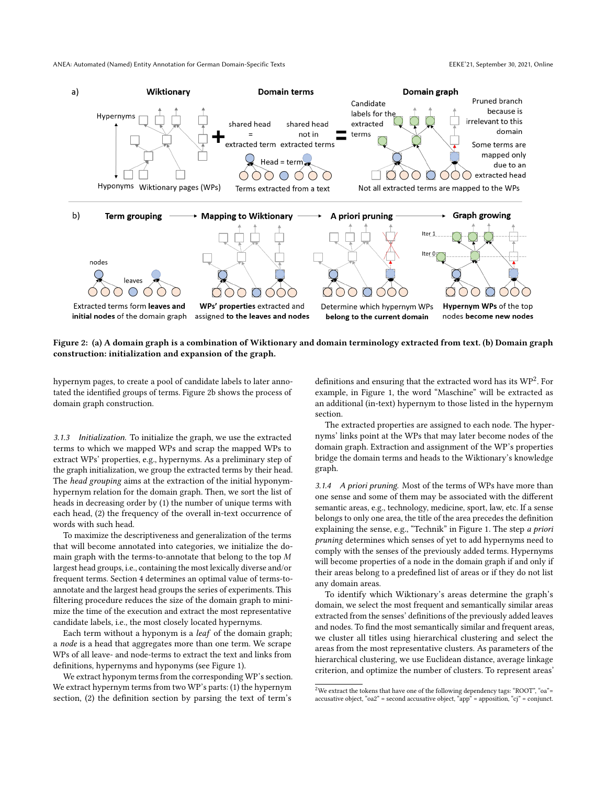<span id="page-2-0"></span>

## Figure 2: (a) A domain graph is a combination of Wiktionary and domain terminology extracted from text. (b) Domain graph construction: initialization and expansion of the graph.

hypernym pages, to create a pool of candidate labels to later annotated the identified groups of terms. Figure [2b](#page-2-0) shows the process of domain graph construction.

3.1.3 Initialization. To initialize the graph, we use the extracted terms to which we mapped WPs and scrap the mapped WPs to extract WPs' properties, e.g., hypernyms. As a preliminary step of the graph initialization, we group the extracted terms by their head. The head grouping aims at the extraction of the initial hyponymhypernym relation for the domain graph. Then, we sort the list of heads in decreasing order by (1) the number of unique terms with each head, (2) the frequency of the overall in-text occurrence of words with such head.

To maximize the descriptiveness and generalization of the terms that will become annotated into categories, we initialize the domain graph with the terms-to-annotate that belong to the top  $M$ largest head groups, i.e., containing the most lexically diverse and/or frequent terms. Section [4](#page-5-0) determines an optimal value of terms-toannotate and the largest head groups the series of experiments. This filtering procedure reduces the size of the domain graph to minimize the time of the execution and extract the most representative candidate labels, i.e., the most closely located hypernyms.

Each term without a hyponym is a leaf of the domain graph; a node is a head that aggregates more than one term. We scrape WPs of all leave- and node-terms to extract the text and links from definitions, hypernyms and hyponyms (see Figure [1\)](#page-1-0).

We extract hyponym terms from the corresponding WP's section. We extract hypernym terms from two WP's parts: (1) the hypernym section, (2) the definition section by parsing the text of term's

definitions and ensuring that the extracted word has its  $WP^2$  $WP^2$ . For example, in Figure [1,](#page-1-0) the word "Maschine" will be extracted as an additional (in-text) hypernym to those listed in the hypernym section.

The extracted properties are assigned to each node. The hypernyms' links point at the WPs that may later become nodes of the domain graph. Extraction and assignment of the WP's properties bridge the domain terms and heads to the Wiktionary's knowledge graph.

3.1.4 A priori pruning. Most of the terms of WPs have more than one sense and some of them may be associated with the different semantic areas, e.g., technology, medicine, sport, law, etc. If a sense belongs to only one area, the title of the area precedes the definition explaining the sense, e.g., "Technik" in Figure [1.](#page-1-0) The step a priori pruning determines which senses of yet to add hypernyms need to comply with the senses of the previously added terms. Hypernyms will become properties of a node in the domain graph if and only if their areas belong to a predefined list of areas or if they do not list any domain areas.

To identify which Wiktionary's areas determine the graph's domain, we select the most frequent and semantically similar areas extracted from the senses' definitions of the previously added leaves and nodes. To find the most semantically similar and frequent areas, we cluster all titles using hierarchical clustering and select the areas from the most representative clusters. As parameters of the hierarchical clustering, we use Euclidean distance, average linkage criterion, and optimize the number of clusters. To represent areas'

<span id="page-2-1"></span> $^2\rm{We}$  extract the tokens that have one of the following dependency tags: "ROOT", "oa"= accusative object, "oa2" = second accusative object, "app" = apposition, "cj" = conjunct.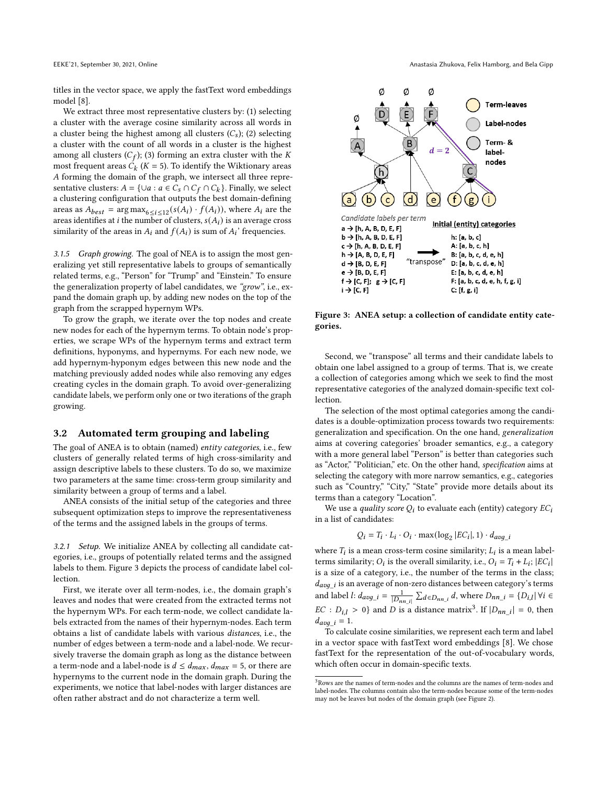titles in the vector space, we apply the fastText word embeddings model [\[8\]](#page-9-16).

We extract three most representative clusters by: (1) selecting a cluster with the average cosine similarity across all words in a cluster being the highest among all clusters  $(C_s)$ ; (2) selecting a cluster with the count of all words in a cluster is the highest among all clusters  $(C_f)$ ; (3) forming an extra cluster with the K most frequent areas  $\ddot{C}_k$  (K = 5). To identify the Wiktionary areas forming the domain of the graph, we intersect all three representative clusters:  $A = \{ \cup a : a \in C_s \cap C_f \cap C_k \}$ . Finally, we select a clustering configuration that outputs the best domain-defining areas as  $A_{best}$  =  $\arg \max_{6 \le i \le 12} (s(A_i) \cdot f(A_i))$ , where  $A_i$  are the areas identifies at *i* the number of clusters,  $s(A_i)$  is an average cross similarity of the areas in  $A_i$  and  $f(A_i)$  is sum of  $A_i$ ' frequencies.

3.1.5 Graph growing. The goal of NEA is to assign the most generalizing yet still representative labels to groups of semantically related terms, e.g., "Person" for "Trump" and "Einstein." To ensure the generalization property of label candidates, we "grow", i.e., expand the domain graph up, by adding new nodes on the top of the graph from the scrapped hypernym WPs.

To grow the graph, we iterate over the top nodes and create new nodes for each of the hypernym terms. To obtain node's properties, we scrape WPs of the hypernym terms and extract term definitions, hyponyms, and hypernyms. For each new node, we add hypernym-hyponym edges between this new node and the matching previously added nodes while also removing any edges creating cycles in the domain graph. To avoid over-generalizing candidate labels, we perform only one or two iterations of the graph growing.

#### <span id="page-3-2"></span>3.2 Automated term grouping and labeling

The goal of ANEA is to obtain (named) entity categories, i.e., few clusters of generally related terms of high cross-similarity and assign descriptive labels to these clusters. To do so, we maximize two parameters at the same time: cross-term group similarity and similarity between a group of terms and a label.

ANEA consists of the initial setup of the categories and three subsequent optimization steps to improve the representativeness of the terms and the assigned labels in the groups of terms.

3.2.1 Setup. We initialize ANEA by collecting all candidate categories, i.e., groups of potentially related terms and the assigned labels to them. Figure [3](#page-3-0) depicts the process of candidate label collection.

First, we iterate over all term-nodes, i.e., the domain graph's leaves and nodes that were created from the extracted terms not the hypernym WPs. For each term-node, we collect candidate labels extracted from the names of their hypernym-nodes. Each term obtains a list of candidate labels with various distances, i.e., the number of edges between a term-node and a label-node. We recursively traverse the domain graph as long as the distance between a term-node and a label-node is  $d \leq d_{max}$ ,  $d_{max} = 5$ , or there are hypernyms to the current node in the domain graph. During the experiments, we notice that label-nodes with larger distances are often rather abstract and do not characterize a term well.

<span id="page-3-0"></span>

Figure 3: ANEA setup: a collection of candidate entity categories.

Second, we "transpose" all terms and their candidate labels to obtain one label assigned to a group of terms. That is, we create a collection of categories among which we seek to find the most representative categories of the analyzed domain-specific text collection.

The selection of the most optimal categories among the candidates is a double-optimization process towards two requirements: generalization and specification. On the one hand, generalization aims at covering categories' broader semantics, e.g., a category with a more general label "Person" is better than categories such as "Actor," "Politician," etc. On the other hand, specification aims at selecting the category with more narrow semantics, e.g., categories such as "Country," "City," "State" provide more details about its terms than a category "Location".

We use a *quality score*  $Q_i$  to evaluate each (entity) category  $EC_i$ in a list of candidates:

$$
Q_i = T_i \cdot L_i \cdot O_i \cdot \max(\log_2 |EC_i|, 1) \cdot d_{avg\_i}
$$

where  $T_i$  is a mean cross-term cosine similarity;  $L_i$  is a mean labelterms similarity;  $O_i$  is the overall similarity, i.e.,  $O_i = T_i + L_i$ ;  $|EC_i|$ is a size of a category, i.e., the number of the terms in the class;  $d_{avg\_i}$  is an average of non-zero distances between category's terms and label *l*:  $d_{avg\_i} = \frac{1}{|D_{nn\_i}|} \sum_{d \in D_{nn\_i}} d$ , where  $D_{nn\_i} = \{D_{i,l} | \forall i \in I\}$  $EC : D_{i,l} > 0$  and D is a distance matrix<sup>[3](#page-3-1)</sup>. If  $|D_{nn\_i}| = 0$ , then  $d_{avg\_i} = 1.$ 

To calculate cosine similarities, we represent each term and label in a vector space with fastText word embeddings [\[8\]](#page-9-16). We chose fastText for the representation of the out-of-vocabulary words, which often occur in domain-specific texts.

<span id="page-3-1"></span> ${}^{3}\mathrm{Rows}$  are the names of term-nodes and the columns are the names of term-nodes and label-nodes. The columns contain also the term-nodes because some of the term-nodes may not be leaves but nodes of the domain graph (see Figure [2\)](#page-2-0).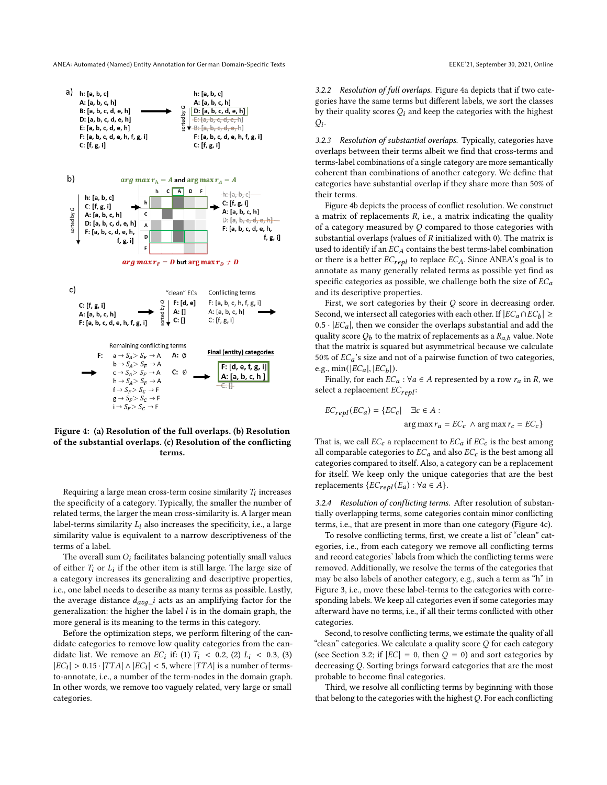ANEA: Automated (Named) Entity Annotation for German Domain-Specific Texts EEKE'21, September 30, 2021, Online

<span id="page-4-0"></span>

Figure 4: (a) Resolution of the full overlaps. (b) Resolution of the substantial overlaps. (c) Resolution of the conflicting terms.

Requiring a large mean cross-term cosine similarity  $T_i$  increases the specificity of a category. Typically, the smaller the number of related terms, the larger the mean cross-similarity is. A larger mean label-terms similarity  $L_i$  also increases the specificity, i.e., a large similarity value is equivalent to a narrow descriptiveness of the terms of a label.

The overall sum  $O_i$  facilitates balancing potentially small values of either  $T_i$  or  $L_i$  if the other item is still large. The large size of a category increases its generalizing and descriptive properties, i.e., one label needs to describe as many terms as possible. Lastly, the average distance  $d_{avg\_i}$  acts as an amplifying factor for the generalization: the higher the label  $l$  is in the domain graph, the more general is its meaning to the terms in this category.

Before the optimization steps, we perform filtering of the candidate categories to remove low quality categories from the candidate list. We remove an  $EC_i$  if: (1)  $T_i$  < 0.2, (2)  $L_i$  < 0.3, (3)  $|EC_i| > 0.15 \cdot |TTA| \wedge |EC_i| < 5$ , where  $|TTA|$  is a number of termsto-annotate, i.e., a number of the term-nodes in the domain graph. In other words, we remove too vaguely related, very large or small categories.

3.2.2 Resolution of full overlaps. Figure [4a](#page-4-0) depicts that if two categories have the same terms but different labels, we sort the classes by their quality scores  $Q_i$  and keep the categories with the highest  $Q_i$ .

3.2.3 Resolution of substantial overlaps. Typically, categories have overlaps between their terms albeit we find that cross-terms and terms-label combinations of a single category are more semantically coherent than combinations of another category. We define that categories have substantial overlap if they share more than 50% of their terms.

Figure [4b](#page-4-0) depicts the process of conflict resolution. We construct a matrix of replacements  $R$ , i.e., a matrix indicating the quality of a category measured by  $Q$  compared to those categories with substantial overlaps (values of  $R$  initialized with 0). The matrix is used to identify if an  $EC_A$  contains the best terms-label combination or there is a better  $EC_{repl}$  to replace  $EC_A$ . Since ANEA's goal is to annotate as many generally related terms as possible yet find as specific categories as possible, we challenge both the size of  $EC_a$ and its descriptive properties.

First, we sort categories by their  $Q$  score in decreasing order. Second, we intersect all categories with each other. If  $|EC_a \cap EC_b| \ge$  $0.5\cdot |EC_a|,$  then we consider the overlaps substantial and add the quality score  $Q_b$  to the matrix of replacements as a  $R_{a,b}$  value. Note that the matrix is squared but asymmetrical because we calculate 50% of  $EC_a$ 's size and not of a pairwise function of two categories, e.g.,  $min(|EC_a|, |EC_b|)$ .

Finally, for each  $EC_a$ :  $\forall a \in A$  represented by a row  $r_a$  in R, we select a replacement  $EC_{repl}$ :

$$
EC_{repl}(EC_a) = \{EC_c | \quad \exists c \in A :
$$
  
arg max  $r_a = EC_c \land \arg \max r_c = EC_c \}$ 

That is, we call  $EC_c$  a replacement to  $EC_a$  if  $EC_c$  is the best among all comparable categories to  $EC_a$  and also  $EC_c$  is the best among all categories compared to itself. Also, a category can be a replacement for itself. We keep only the unique categories that are the best replacements  $\{EC_{repl}(E_a): \forall a \in A\}.$ 

3.2.4 Resolution of conflicting terms. After resolution of substantially overlapping terms, some categories contain minor conflicting terms, i.e., that are present in more than one category (Figure [4c](#page-4-0)).

To resolve conflicting terms, first, we create a list of "clean" categories, i.e., from each category we remove all conflicting terms and record categories' labels from which the conflicting terms were removed. Additionally, we resolve the terms of the categories that may be also labels of another category, e.g., such a term as "h" in Figure [3,](#page-3-0) i.e., move these label-terms to the categories with corresponding labels. We keep all categories even if some categories may afterward have no terms, i.e., if all their terms conflicted with other categories.

Second, to resolve conflicting terms, we estimate the quality of all "clean" categories. We calculate a quality score  $Q$  for each category (see Section [3.2;](#page-3-2) if  $|EC| = 0$ , then  $Q = 0$ ) and sort categories by decreasing  $Q$ . Sorting brings forward categories that are the most probable to become final categories.

Third, we resolve all conflicting terms by beginning with those that belong to the categories with the highest  $Q$ . For each conflicting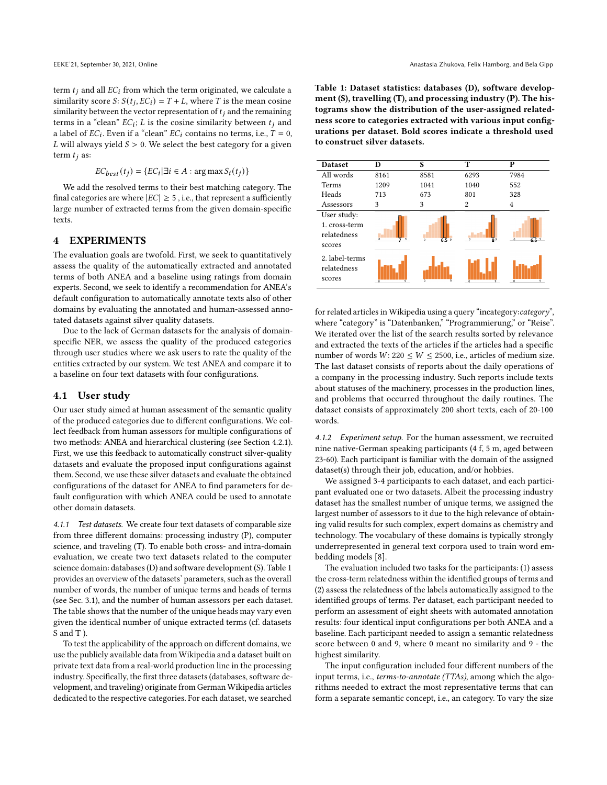term  $t_i$  and all  $EC_i$  from which the term originated, we calculate a similarity score *S*:  $S(t_j, EC_i) = T + L$ , where *T* is the mean cosine similarity between the vector representation of  $t_i$  and the remaining terms in a "clean"  $EC_i$ ; L is the cosine similarity between  $t_j$  and a label of  $EC_i$ . Even if a "clean"  $EC_i$  contains no terms, i.e.,  $\tilde{T} = 0$ ,  $L$  will always yield  $S > 0$  . We select the best category for a given term  $t_i$  as:

$$
EC_{best}(t_j) = \{ EC_i | \exists i \in A : \arg \max S_i(t_j) \}
$$

We add the resolved terms to their best matching category. The final categories are where  $|EC| \geq 5$ , i.e., that represent a sufficiently large number of extracted terms from the given domain-specific texts.

## <span id="page-5-0"></span>4 EXPERIMENTS

The evaluation goals are twofold. First, we seek to quantitatively assess the quality of the automatically extracted and annotated terms of both ANEA and a baseline using ratings from domain experts. Second, we seek to identify a recommendation for ANEA's default configuration to automatically annotate texts also of other domains by evaluating the annotated and human-assessed annotated datasets against silver quality datasets.

Due to the lack of German datasets for the analysis of domainspecific NER, we assess the quality of the produced categories through user studies where we ask users to rate the quality of the entities extracted by our system. We test ANEA and compare it to a baseline on four text datasets with four configurations.

## 4.1 User study

Our user study aimed at human assessment of the semantic quality of the produced categories due to different configurations. We collect feedback from human assessors for multiple configurations of two methods: ANEA and hierarchical clustering (see Section [4.2.1\)](#page-6-0). First, we use this feedback to automatically construct silver-quality datasets and evaluate the proposed input configurations against them. Second, we use these silver datasets and evaluate the obtained configurations of the dataset for ANEA to find parameters for default configuration with which ANEA could be used to annotate other domain datasets.

4.1.1 Test datasets. We create four text datasets of comparable size from three different domains: processing industry (P), computer science, and traveling (T). To enable both cross- and intra-domain evaluation, we create two text datasets related to the computer science domain: databases (D) and software development (S). Table [1](#page-5-1) provides an overview of the datasets' parameters, such as the overall number of words, the number of unique terms and heads of terms (see Sec. [3.1\)](#page-1-1), and the number of human assessors per each dataset. The table shows that the number of the unique heads may vary even given the identical number of unique extracted terms (cf. datasets S and T).

To test the applicability of the approach on different domains, we use the publicly available data from Wikipedia and a dataset built on private text data from a real-world production line in the processing industry. Specifically, the first three datasets (databases, software development, and traveling) originate from German Wikipedia articles dedicated to the respective categories. For each dataset, we searched

<span id="page-5-1"></span>Table 1: Dataset statistics: databases (D), software development (S), travelling (T), and processing industry (P). The histograms show the distribution of the user-assigned relatedness score to categories extracted with various input configurations per dataset. Bold scores indicate a threshold used to construct silver datasets.

| <b>Dataset</b>                                        | D                                | S                | т                                | P                |
|-------------------------------------------------------|----------------------------------|------------------|----------------------------------|------------------|
| All words                                             | 8161                             | 8581             | 6293                             | 7984             |
| <b>Terms</b>                                          | 1209                             | 1041             | 1040                             | 552              |
| Heads                                                 | 713                              | 673              | 801                              | 328              |
| Assessors                                             | 3                                | 3                | 2                                | 4                |
| User study:<br>1. cross-term<br>relatedness<br>scores | $\overline{Q}$<br>$\overline{0}$ | 6.59<br>$\Omega$ | $\overline{8}$ <sup>9</sup><br>n | 6.5 <sup>9</sup> |
| 2. label-terms<br>relatedness<br>scores               | $\overline{q}$<br>$\overline{a}$ | $\overline{p}$   | ٩<br>$\overline{0}$              | ٩<br>0           |

for related articles in Wikipedia using a query "incategory:category", where "category" is "Datenbanken," "Programmierung," or "Reise". We iterated over the list of the search results sorted by relevance and extracted the texts of the articles if the articles had a specific number of words  $W: 220 \leq W \leq 2500$ , i.e., articles of medium size. The last dataset consists of reports about the daily operations of a company in the processing industry. Such reports include texts about statuses of the machinery, processes in the production lines, and problems that occurred throughout the daily routines. The dataset consists of approximately 200 short texts, each of 20-100 words.

4.1.2 Experiment setup. For the human assessment, we recruited nine native-German speaking participants (4 f, 5 m, aged between 23-60). Each participant is familiar with the domain of the assigned dataset(s) through their job, education, and/or hobbies.

We assigned 3-4 participants to each dataset, and each participant evaluated one or two datasets. Albeit the processing industry dataset has the smallest number of unique terms, we assigned the largest number of assessors to it due to the high relevance of obtaining valid results for such complex, expert domains as chemistry and technology. The vocabulary of these domains is typically strongly underrepresented in general text corpora used to train word embedding models [\[8\]](#page-9-16).

The evaluation included two tasks for the participants: (1) assess the cross-term relatedness within the identified groups of terms and (2) assess the relatedness of the labels automatically assigned to the identified groups of terms. Per dataset, each participant needed to perform an assessment of eight sheets with automated annotation results: four identical input configurations per both ANEA and a baseline. Each participant needed to assign a semantic relatedness score between 0 and 9, where 0 meant no similarity and 9 - the highest similarity.

The input configuration included four different numbers of the input terms, i.e., terms-to-annotate (TTAs), among which the algorithms needed to extract the most representative terms that can form a separate semantic concept, i.e., an category. To vary the size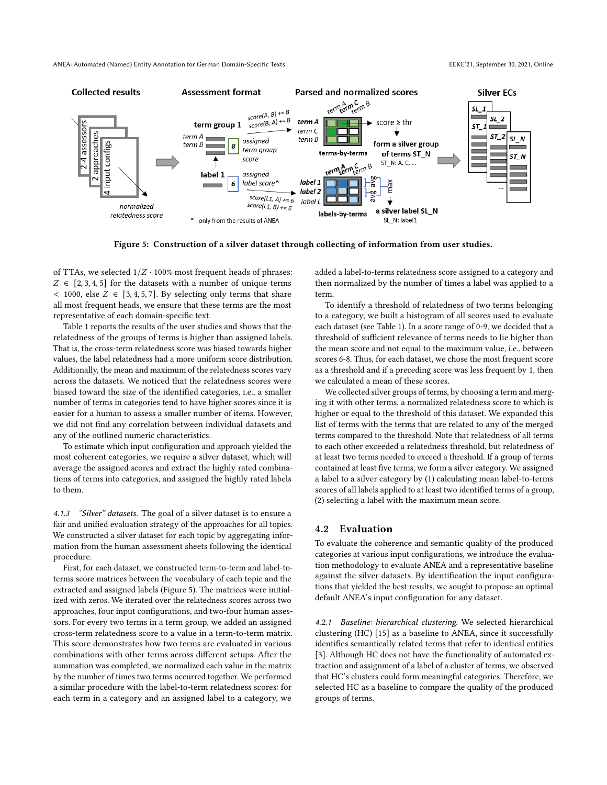<span id="page-6-1"></span>

Figure 5: Construction of a silver dataset through collecting of information from user studies.

of TTAs, we selected  $1/Z \cdot 100\%$  most frequent heads of phrases:  $Z \in [2, 3, 4, 5]$  for the datasets with a number of unique terms  $<$  1000, else  $Z \in [3, 4, 5, 7]$ . By selecting only terms that share all most frequent heads, we ensure that these terms are the most representative of each domain-specific text.

Table [1](#page-5-1) reports the results of the user studies and shows that the relatedness of the groups of terms is higher than assigned labels. That is, the cross-term relatedness score was biased towards higher values, the label relatedness had a more uniform score distribution. Additionally, the mean and maximum of the relatedness scores vary across the datasets. We noticed that the relatedness scores were biased toward the size of the identified categories, i.e., a smaller number of terms in categories tend to have higher scores since it is easier for a human to assess a smaller number of items. However, we did not find any correlation between individual datasets and any of the outlined numeric characteristics.

To estimate which input configuration and approach yielded the most coherent categories, we require a silver dataset, which will average the assigned scores and extract the highly rated combinations of terms into categories, and assigned the highly rated labels to them.

4.1.3 "Silver" datasets. The goal of a silver dataset is to ensure a fair and unified evaluation strategy of the approaches for all topics. We constructed a silver dataset for each topic by aggregating information from the human assessment sheets following the identical procedure.

First, for each dataset, we constructed term-to-term and label-toterms score matrices between the vocabulary of each topic and the extracted and assigned labels (Figure [5\)](#page-6-1). The matrices were initialized with zeros. We iterated over the relatedness scores across two approaches, four input configurations, and two-four human assessors. For every two terms in a term group, we added an assigned cross-term relatedness score to a value in a term-to-term matrix. This score demonstrates how two terms are evaluated in various combinations with other terms across different setups. After the summation was completed, we normalized each value in the matrix by the number of times two terms occurred together. We performed a similar procedure with the label-to-term relatedness scores: for each term in a category and an assigned label to a category, we

added a label-to-terms relatedness score assigned to a category and then normalized by the number of times a label was applied to a term.

To identify a threshold of relatedness of two terms belonging to a category, we built a histogram of all scores used to evaluate each dataset (see Table [1\)](#page-5-1). In a score range of 0-9, we decided that a threshold of sufficient relevance of terms needs to lie higher than the mean score and not equal to the maximum value, i.e., between scores 6-8. Thus, for each dataset, we chose the most frequent score as a threshold and if a preceding score was less frequent by 1, then we calculated a mean of these scores.

We collected silver groups of terms, by choosing a term and merging it with other terms, a normalized relatedness score to which is higher or equal to the threshold of this dataset. We expanded this list of terms with the terms that are related to any of the merged terms compared to the threshold. Note that relatedness of all terms to each other exceeded a relatedness threshold, but relatedness of at least two terms needed to exceed a threshold. If a group of terms contained at least five terms, we form a silver category. We assigned a label to a silver category by (1) calculating mean label-to-terms scores of all labels applied to at least two identified terms of a group, (2) selecting a label with the maximum mean score.

# 4.2 Evaluation

To evaluate the coherence and semantic quality of the produced categories at various input configurations, we introduce the evaluation methodology to evaluate ANEA and a representative baseline against the silver datasets. By identification the input configurations that yielded the best results, we sought to propose an optimal default ANEA's input configuration for any dataset.

<span id="page-6-0"></span>4.2.1 Baseline: hierarchical clustering. We selected hierarchical clustering (HC) [\[15\]](#page-9-17) as a baseline to ANEA, since it successfully identifies semantically related terms that refer to identical entities [\[3\]](#page-9-18). Although HC does not have the functionality of automated extraction and assignment of a label of a cluster of terms, we observed that HC's clusters could form meaningful categories. Therefore, we selected HC as a baseline to compare the quality of the produced groups of terms.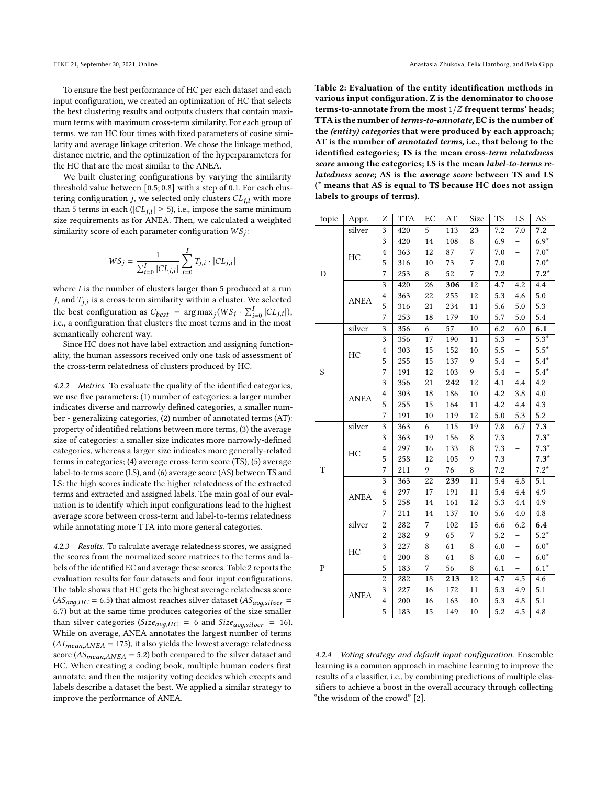To ensure the best performance of HC per each dataset and each input configuration, we created an optimization of HC that selects the best clustering results and outputs clusters that contain maximum terms with maximum cross-term similarity. For each group of terms, we ran HC four times with fixed parameters of cosine similarity and average linkage criterion. We chose the linkage method, distance metric, and the optimization of the hyperparameters for the HC that are the most similar to the ANEA.

We built clustering configurations by varying the similarity threshold value between [0.5; 0.8] with a step of 0.1. For each clustering configuration  $j$ , we selected only clusters  $CL_{i,i}$  with more than 5 terms in each ( $|CL_{j,i}| \geq 5$ ), i.e., impose the same minimum size requirements as for ANEA. Then, we calculated a weighted similarity score of each parameter configuration  $WS_i$ :

$$
WS_j = \frac{1}{\sum_{i=0}^I |CL_{j,i}|}\sum_{i=0}^I T_{j,i}\cdot |CL_{j,i}|
$$

where  $I$  is the number of clusters larger than 5 produced at a run  $j$ , and  $T_{j,i}$  is a cross-term similarity within a cluster. We selected the best configuration as  $C_{best}$  =  $\arg \max_j (WS_j \cdot \sum_{i=0}^I |CL_{j,i}|),$ i.e., a configuration that clusters the most terms and in the most semantically coherent way.

Since HC does not have label extraction and assigning functionality, the human assessors received only one task of assessment of the cross-term relatedness of clusters produced by HC.

4.2.2 Metrics. To evaluate the quality of the identified categories, we use five parameters: (1) number of categories: a larger number indicates diverse and narrowly defined categories, a smaller number - generalizing categories, (2) number of annotated terms (AT): property of identified relations between more terms, (3) the average size of categories: a smaller size indicates more narrowly-defined categories, whereas a larger size indicates more generally-related terms in categories; (4) average cross-term score (TS), (5) average label-to-terms score (LS), and (6) average score (AS) between TS and LS: the high scores indicate the higher relatedness of the extracted terms and extracted and assigned labels. The main goal of our evaluation is to identify which input configurations lead to the highest average score between cross-term and label-to-terms relatedness while annotating more TTA into more general categories.

4.2.3 Results. To calculate average relatedness scores, we assigned the scores from the normalized score matrices to the terms and labels of the identified EC and average these scores. Table [2](#page-7-0) reports the evaluation results for four datasets and four input configurations. The table shows that HC gets the highest average relatedness score  $(AS_{avg,HC} = 6.5)$  that almost reaches silver dataset  $(AS_{avg,silver} = 1)$ 6.7) but at the same time produces categories of the size smaller than silver categories ( $Size_{avg,HC} = 6$  and  $Size_{avg,silver} = 16$ ). While on average, ANEA annotates the largest number of terms  $(AT_{mean, ANEA} = 175)$ , it also yields the lowest average relatedness score ( $AS_{mean, ANEA}$  = 5.2) both compared to the silver dataset and HC. When creating a coding book, multiple human coders first annotate, and then the majority voting decides which excepts and labels describe a dataset the best. We applied a similar strategy to improve the performance of ANEA.

<span id="page-7-0"></span>Table 2: Evaluation of the entity identification methods in various input configuration. Z is the denominator to choose terms-to-annotate from the most  $1/Z$  frequent terms' heads; TTA is the number of terms-to-annotate, EC is the number of the (entity) categories that were produced by each approach; AT is the number of annotated terms, i.e., that belong to the identified categories; TS is the mean cross-term relatedness score among the categories; LS is the mean label-to-terms relatedness score; AS is the average score between TS and LS (\* means that AS is equal to TS because HC does not assign labels to groups of terms).

| topic     | Appr.       | Z                       | <b>TTA</b> | EC             | AT  | Size           | <b>TS</b> | LS                       | AS                 |
|-----------|-------------|-------------------------|------------|----------------|-----|----------------|-----------|--------------------------|--------------------|
| D         | silver      | 3                       | 420        | 5              | 113 | 23             | 7.2       | 7.0                      | 7.2                |
|           | HC          | 3                       | 420        | 14             | 108 | 8              | 6.9       |                          | $6.9*$             |
|           |             | $\overline{4}$          | 363        | 12             | 87  | $\overline{7}$ | 7.0       | $\overline{\phantom{0}}$ | $7.0*$             |
|           |             | 5                       | 316        | 10             | 73  | 7              | 7.0       |                          | $7.0*$             |
|           |             | 7                       | 253        | 8              | 52  | $\overline{7}$ | 7.2       |                          | $7.2*$             |
|           | <b>ANEA</b> | $\overline{3}$          | 420        | 26             | 306 | 12             | 4.7       | 4.2                      | 4.4                |
|           |             | $\overline{\mathbf{4}}$ | 363        | 22             | 255 | 12             | 5.3       | 4.6                      | 5.0                |
|           |             | 5                       | 316        | 21             | 234 | 11             | 5.6       | 5.0                      | 5.3                |
|           |             | 7                       | 253        | 18             | 179 | 10             | 5.7       | 5.0                      | 5.4                |
|           | silver      | $\overline{3}$          | 356        | 6              | 57  | $10\,$         | 6.2       | 6.0                      | 6.1                |
|           |             | 3                       | 356        | 17             | 190 | 11             | 5.3       | -                        | $5.3*$             |
|           |             | $\overline{4}$          | 303        | 15             | 152 | $10\,$         | 5.5       | —                        | $5.5*$             |
|           | HC          | 5                       | 255        | 15             | 137 | 9              | 5.4       | $\overline{\phantom{0}}$ | $5.4*$             |
| S         |             | 7                       | 191        | 12             | 103 | 9              | 5.4       | -                        | $5.4*$             |
|           |             | 3                       | 356        | 21             | 242 | 12             | 4.1       | 4.4                      | 4.2                |
|           | <b>ANEA</b> | $\overline{4}$          | 303        | 18             | 186 | $10\,$         | 4.2       | 3.8                      | 4.0                |
|           |             | 5                       | 255        | 15             | 164 | 11             | 4.2       | 4.4                      | 4.3                |
|           |             | 7                       | 191        | 10             | 119 | 12             | 5.0       | 5.3                      | 5.2                |
|           | silver      | 3                       | 363        | 6              | 115 | 19             | 7.8       | 6.7                      | 7.3                |
|           | HC          | 3                       | 363        | 19             | 156 | 8              | 7.3       |                          | $7.3*$             |
|           |             | $\overline{4}$          | 297        | 16             | 133 | 8              | 7.3       | $\overline{\phantom{0}}$ | $7.3*$             |
|           |             | 5                       | 258        | 12             | 105 | 9              | 7.3       |                          | $7.3*$             |
| T         |             | 7                       | 211        | 9              | 76  | 8              | 7.2       | $\overline{\phantom{0}}$ | $7.2*$             |
|           | <b>ANEA</b> | 3                       | 363        | 22             | 239 | 11             | 5.4       | 4.8                      | 5.1                |
|           |             | $\overline{4}$          | 297        | 17             | 191 | 11             | 5.4       | 4.4                      | 4.9                |
|           |             | 5                       | 258        | 14             | 161 | 12             | 5.3       | 4.4                      | 4.9                |
|           |             | 7                       | 211        | 14             | 137 | 10             | 5.6       | 4.0                      | 4.8                |
|           | silver      | $\overline{c}$          | 282        | $\overline{7}$ | 102 | 15             | 6.6       | 6.2                      | 6.4                |
| ${\bf P}$ | HC          | $\overline{\mathbf{c}}$ | 282        | 9              | 65  | $\sqrt{ }$     | 5.2       | —                        | $\overline{5.2}^*$ |
|           |             | 3                       | 227        | 8              | 61  | 8              | 6.0       | —                        | $6.0*$             |
|           |             | $\overline{4}$          | 200        | 8              | 61  | 8              | 6.0       | —                        | $6.0*$             |
|           |             | 5                       | 183        | 7              | 56  | 8              | 6.1       | $\overline{a}$           | $6.1*$             |
|           | <b>ANEA</b> | $\overline{c}$          | 282        | 18             | 213 | 12             | 4.7       | 4.5                      | 4.6                |
|           |             | 3                       | 227        | 16             | 172 | 11             | 5.3       | 4.9                      | 5.1                |
|           |             | $\overline{4}$          | 200        | 16             | 163 | 10             | 5.3       | 4.8                      | 5.1                |
|           |             | 5                       | 183        | 15             | 149 | 10             | 5.2       | 4.5                      | 4.8                |

4.2.4 Voting strategy and default input configuration. Ensemble learning is a common approach in machine learning to improve the results of a classifier, i.e., by combining predictions of multiple classifiers to achieve a boost in the overall accuracy through collecting "the wisdom of the crowd" [\[2\]](#page-9-19).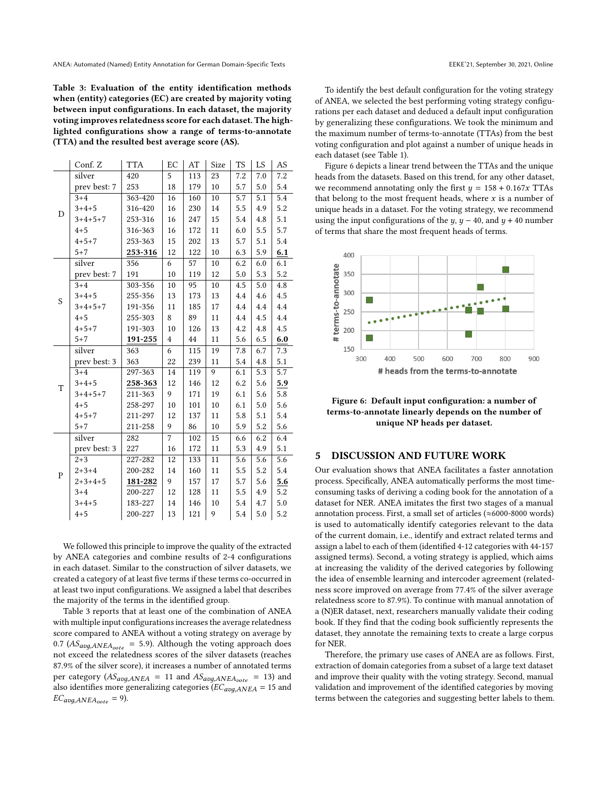<span id="page-8-0"></span>Table 3: Evaluation of the entity identification methods when (entity) categories (EC) are created by majority voting between input configurations. In each dataset, the majority voting improves relatedness score for each dataset. The highlighted configurations show a range of terms-to-annotate (TTA) and the resulted best average score (AS).

|             | Conf. Z      | <b>TTA</b>  | EC             | AT  | Size   | <b>TS</b> | LS  | AS      |
|-------------|--------------|-------------|----------------|-----|--------|-----------|-----|---------|
| D           | silver       | 420         | 5              | 113 | 23     | 7.2       | 7.0 | 7.2     |
|             | prev best: 7 | 253         | 18             | 179 | 10     | 5.7       | 5.0 | 5.4     |
|             | $3 + 4$      | 363-420     | 16             | 160 | 10     | 5.7       | 5.1 | 5.4     |
|             | $3 + 4 + 5$  | 316-420     | 16             | 230 | 14     | 5.5       | 4.9 | 5.2     |
|             | $3+4+5+7$    | 253-316     | 16             | 247 | 15     | 5.4       | 4.8 | 5.1     |
|             | $4 + 5$      | 316-363     | 16             | 172 | 11     | 6.0       | 5.5 | 5.7     |
|             | $4 + 5 + 7$  | 253-363     | 15             | 202 | 13     | 5.7       | 5.1 | 5.4     |
|             | $5 + 7$      | $253 - 316$ | 12             | 122 | 10     | 6.3       | 5.9 | 6.1     |
|             | silver       | 356         | 6              | 57  | 10     | 6.2       | 6.0 | 6.1     |
| S           | prev best: 7 | 191         | 10             | 119 | 12     | 5.0       | 5.3 | 5.2     |
|             | $3 + 4$      | 303-356     | 10             | 95  | 10     | 4.5       | 5.0 | 4.8     |
|             | $3 + 4 + 5$  | 255-356     | 13             | 173 | 13     | 4.4       | 4.6 | 4.5     |
|             | $3+4+5+7$    | 191-356     | 11             | 185 | 17     | 4.4       | 4.4 | 4.4     |
|             | $4 + 5$      | 255-303     | 8              | 89  | 11     | 4.4       | 4.5 | $4.4\,$ |
|             | $4 + 5 + 7$  | 191-303     | 10             | 126 | 13     | 4.2       | 4.8 | 4.5     |
|             | $5 + 7$      | 191-255     | $\overline{4}$ | 44  | 11     | 5.6       | 6.5 | $6.0\,$ |
|             | silver       | 363         | 6              | 115 | 19     | 7.8       | 6.7 | 7.3     |
|             | prev best: 3 | 363         | 22             | 239 | 11     | 5.4       | 4.8 | 5.1     |
|             | $3 + 4$      | 297-363     | 14             | 119 | 9      | 6.1       | 5.3 | 5.7     |
| T           | $3 + 4 + 5$  | 258-363     | 12             | 146 | 12     | 6.2       | 5.6 | 5.9     |
|             | $3+4+5+7$    | 211-363     | 9              | 171 | 19     | 6.1       | 5.6 | 5.8     |
|             | $4 + 5$      | 258-297     | $10\,$         | 101 | $10\,$ | 6.1       | 5.0 | 5.6     |
|             | $4 + 5 + 7$  | 211-297     | 12             | 137 | 11     | 5.8       | 5.1 | 5.4     |
|             | $5 + 7$      | 211-258     | 9              | 86  | 10     | 5.9       | 5.2 | 5.6     |
| $\mathbf P$ | silver       | 282         | $\overline{7}$ | 102 | 15     | 6.6       | 6.2 | 6.4     |
|             | prev best: 3 | 227         | 16             | 172 | 11     | 5.3       | 4.9 | 5.1     |
|             | $2 + 3$      | 227-282     | 12             | 133 | 11     | 5.6       | 5.6 | 5.6     |
|             | $2 + 3 + 4$  | 200-282     | 14             | 160 | 11     | 5.5       | 5.2 | 5.4     |
|             | $2+3+4+5$    | 181-282     | 9              | 157 | 17     | 5.7       | 5.6 | 5.6     |
|             | $3 + 4$      | 200-227     | 12             | 128 | 11     | 5.5       | 4.9 | 5.2     |
|             | $3 + 4 + 5$  | 183-227     | 14             | 146 | 10     | 5.4       | 4.7 | 5.0     |
|             | $4 + 5$      | 200-227     | 13             | 121 | 9      | 5.4       | 5.0 | 5.2     |

We followed this principle to improve the quality of the extracted by ANEA categories and combine results of 2-4 configurations in each dataset. Similar to the construction of silver datasets, we created a category of at least five terms if these terms co-occurred in at least two input configurations. We assigned a label that describes the majority of the terms in the identified group.

Table [3](#page-8-0) reports that at least one of the combination of ANEA with multiple input configurations increases the average relatedness score compared to ANEA without a voting strategy on average by 0.7 ( $AS_{avg, ANEA_{vote}}$  = 5.9). Although the voting approach does not exceed the relatedness scores of the silver datasets (reaches 87.9% of the silver score), it increases a number of annotated terms per category ( $AS_{avg, ANEA}$  = 11 and  $AS_{avg, ANEA_{vote}}$  = 13) and also identifies more generalizing categories ( $EC_{avg, ANEA}$  = 15 and  $EC_{avg, ANEA_{vote}} = 9$ ).

To identify the best default configuration for the voting strategy of ANEA, we selected the best performing voting strategy configurations per each dataset and deduced a default input configuration by generalizing these configurations. We took the minimum and the maximum number of terms-to-annotate (TTAs) from the best voting configuration and plot against a number of unique heads in each dataset (see Table [1\)](#page-5-1).

Figure [6](#page-8-1) depicts a linear trend between the TTAs and the unique heads from the datasets. Based on this trend, for any other dataset, we recommend annotating only the first  $y = 158 + 0.167x$  TTAs that belong to the most frequent heads, where  $x$  is a number of unique heads in a dataset. For the voting strategy, we recommend using the input configurations of the  $y$ ,  $y - 40$ , and  $y + 40$  number of terms that share the most frequent heads of terms.

<span id="page-8-1"></span>

Figure 6: Default input configuration: a number of terms-to-annotate linearly depends on the number of unique NP heads per dataset.

## 5 DISCUSSION AND FUTURE WORK

Our evaluation shows that ANEA facilitates a faster annotation process. Specifically, ANEA automatically performs the most timeconsuming tasks of deriving a coding book for the annotation of a dataset for NER. ANEA imitates the first two stages of a manual annotation process. First, a small set of articles (≈6000-8000 words) is used to automatically identify categories relevant to the data of the current domain, i.e., identify and extract related terms and assign a label to each of them (identified 4-12 categories with 44-157 assigned terms). Second, a voting strategy is applied, which aims at increasing the validity of the derived categories by following the idea of ensemble learning and intercoder agreement (relatedness score improved on average from 77.4% of the silver average relatedness score to 87.9%). To continue with manual annotation of a (N)ER dataset, next, researchers manually validate their coding book. If they find that the coding book sufficiently represents the dataset, they annotate the remaining texts to create a large corpus for NER.

Therefore, the primary use cases of ANEA are as follows. First, extraction of domain categories from a subset of a large text dataset and improve their quality with the voting strategy. Second, manual validation and improvement of the identified categories by moving terms between the categories and suggesting better labels to them.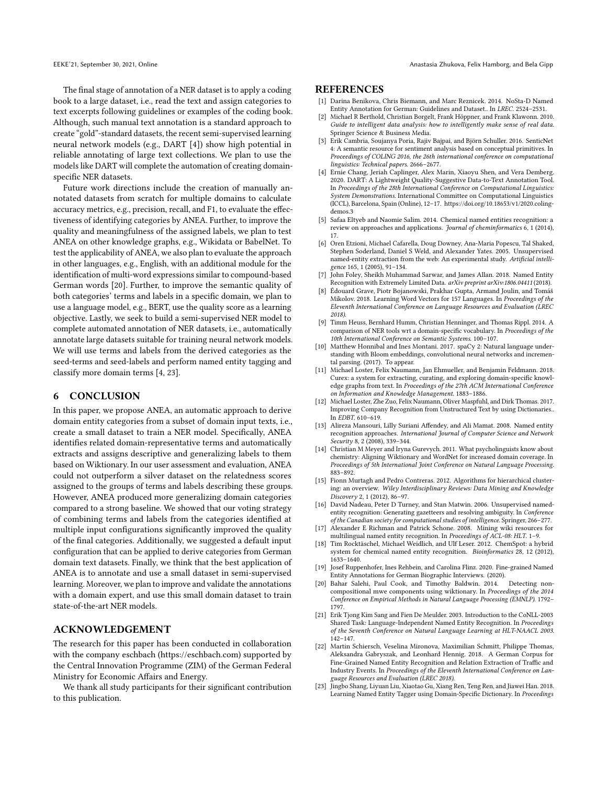The final stage of annotation of a NER dataset is to apply a coding book to a large dataset, i.e., read the text and assign categories to text excerpts following guidelines or examples of the coding book. Although, such manual text annotation is a standard approach to create "gold"-standard datasets, the recent semi-supervised learning neural network models (e.g., DART [\[4\]](#page-9-20)) show high potential in reliable annotating of large text collections. We plan to use the models like DART will complete the automation of creating domainspecific NER datasets.

Future work directions include the creation of manually annotated datasets from scratch for multiple domains to calculate accuracy metrics, e.g., precision, recall, and F1, to evaluate the effectiveness of identifying categories by ANEA. Further, to improve the quality and meaningfulness of the assigned labels, we plan to test ANEA on other knowledge graphs, e.g., Wikidata or BabelNet. To test the applicability of ANEA, we also plan to evaluate the approach in other languages, e.g., English, with an additional module for the identification of multi-word expressions similar to compound-based German words [\[20\]](#page-9-21). Further, to improve the semantic quality of both categories' terms and labels in a specific domain, we plan to use a language model, e.g., BERT, use the quality score as a learning objective. Lastly, we seek to build a semi-supervised NER model to complete automated annotation of NER datasets, i.e., automatically annotate large datasets suitable for training neural network models. We will use terms and labels from the derived categories as the seed-terms and seed-labels and perform named entity tagging and classify more domain terms [\[4,](#page-9-20) [23\]](#page-9-22).

#### 6 CONCLUSION

In this paper, we propose ANEA, an automatic approach to derive domain entity categories from a subset of domain input texts, i.e., create a small dataset to train a NER model. Specifically, ANEA identifies related domain-representative terms and automatically extracts and assigns descriptive and generalizing labels to them based on Wiktionary. In our user assessment and evaluation, ANEA could not outperform a silver dataset on the relatedness scores assigned to the groups of terms and labels describing these groups. However, ANEA produced more generalizing domain categories compared to a strong baseline. We showed that our voting strategy of combining terms and labels from the categories identified at multiple input configurations significantly improved the quality of the final categories. Additionally, we suggested a default input configuration that can be applied to derive categories from German domain text datasets. Finally, we think that the best application of ANEA is to annotate and use a small dataset in semi-supervised learning. Moreover, we plan to improve and validate the annotations with a domain expert, and use this small domain dataset to train state-of-the-art NER models.

## ACKNOWLEDGEMENT

The research for this paper has been conducted in collaboration with the company eschbach [\(https://eschbach.com\)](https://eschbach.com) supported by the Central Innovation Programme (ZIM) of the German Federal Ministry for Economic Affairs and Energy.

We thank all study participants for their significant contribution to this publication.

#### **REFERENCES**

- <span id="page-9-3"></span>[1] Darina Benikova, Chris Biemann, and Marc Reznicek. 2014. NoSta-D Named Entity Annotation for German: Guidelines and Dataset.. In LREC. 2524–2531.
- <span id="page-9-19"></span>[2] Michael R Berthold, Christian Borgelt, Frank Höppner, and Frank Klawonn. 2010. Guide to intelligent data analysis: how to intelligently make sense of real data. Springer Science & Business Media.
- <span id="page-9-18"></span>[3] Erik Cambria, Soujanya Poria, Rajiv Bajpai, and Björn Schuller. 2016. SenticNet 4: A semantic resource for sentiment analysis based on conceptual primitives. In Proceedings of COLING 2016, the 26th international conference on computational linguistics: Technical papers. 2666–2677.
- <span id="page-9-20"></span>[4] Ernie Chang, Jeriah Caplinger, Alex Marin, Xiaoyu Shen, and Vera Demberg. 2020. DART: A Lightweight Quality-Suggestive Data-to-Text Annotation Tool. In Proceedings of the 28th International Conference on Computational Linguistics: System Demonstrations. International Committee on Computational Linguistics (ICCL), Barcelona, Spain (Online), 12–17. [https://doi.org/10.18653/v1/2020.coling](https://doi.org/10.18653/v1/2020.coling-demos.3)[demos.3](https://doi.org/10.18653/v1/2020.coling-demos.3)
- <span id="page-9-0"></span>[5] Safaa Eltyeb and Naomie Salim. 2014. Chemical named entities recognition: a review on approaches and applications. Journal of cheminformatics 6, 1 (2014), 17.
- <span id="page-9-13"></span>[6] Oren Etzioni, Michael Cafarella, Doug Downey, Ana-Maria Popescu, Tal Shaked, Stephen Soderland, Daniel S Weld, and Alexander Yates. 2005. Unsupervised named-entity extraction from the web: An experimental study. Artificial intelligence 165, 1 (2005), 91–134.
- <span id="page-9-10"></span>[7] John Foley, Sheikh Muhammad Sarwar, and James Allan. 2018. Named Entity Recognition with Extremely Limited Data. arXiv preprint arXiv:1806.04411 (2018).
- <span id="page-9-16"></span>[8] Édouard Grave, Piotr Bojanowski, Prakhar Gupta, Armand Joulin, and Tomáš Mikolov. 2018. Learning Word Vectors for 157 Languages. In Proceedings of the Eleventh International Conference on Language Resources and Evaluation (LREC 2018).
- <span id="page-9-8"></span>[9] Timm Heuss, Bernhard Humm, Christian Henninger, and Thomas Rippl. 2014. A comparison of NER tools wrt a domain-specific vocabulary. In Proceedings of the 10th International Conference on Semantic Systems. 100–107.
- <span id="page-9-15"></span>[10] Matthew Honnibal and Ines Montani. 2017. spaCy 2: Natural language understanding with Bloom embeddings, convolutional neural networks and incremental parsing. (2017). To appear.
- <span id="page-9-5"></span>[11] Michael Loster, Felix Naumann, Jan Ehmueller, and Benjamin Feldmann. 2018. Curex: a system for extracting, curating, and exploring domain-specific knowledge graphs from text. In Proceedings of the 27th ACM International Conference on Information and Knowledge Management. 1883–1886.
- <span id="page-9-9"></span>[12] Michael Loster, Zhe Zuo, Felix Naumann, Oliver Maspfuhl, and Dirk Thomas. 2017. Improving Company Recognition from Unstructured Text by using Dictionaries.. In EDBT. 610–619.
- <span id="page-9-14"></span>[13] Alireza Mansouri, Lilly Suriani Affendey, and Ali Mamat. 2008. Named entity recognition approaches. International Journal of Computer Science and Network Security 8, 2 (2008), 339–344.
- <span id="page-9-12"></span>[14] Christian M Meyer and Iryna Gurevych. 2011. What psycholinguists know about chemistry: Aligning Wiktionary and WordNet for increased domain coverage. In Proceedings of 5th International Joint Conference on Natural Language Processing. 883–892.
- <span id="page-9-17"></span>[15] Fionn Murtagh and Pedro Contreras. 2012. Algorithms for hierarchical clustering: an overview. Wiley Interdisciplinary Reviews: Data Mining and Knowledge Discovery 2, 1 (2012), 86–97.
- <span id="page-9-11"></span>[16] David Nadeau, Peter D Turney, and Stan Matwin. 2006. Unsupervised namedentity recognition: Generating gazetteers and resolving ambiguity. In Conference of the Canadian society for computational studies of intelligence. Springer, 266–277.
- <span id="page-9-2"></span>[17] Alexander E Richman and Patrick Schone. 2008. Mining wiki resources for multilingual named entity recognition. In Proceedings of ACL-08: HLT. 1–9.
- <span id="page-9-1"></span>[18] Tim Rocktäschel, Michael Weidlich, and Ulf Leser. 2012. ChemSpot: a hybrid system for chemical named entity recognition. Bioinformatics 28, 12 (2012), 1633–1640.
- <span id="page-9-6"></span>[19] Josef Ruppenhofer, Ines Rehbein, and Carolina Flinz. 2020. Fine-grained Named Entity Annotations for German Biographic Interviews. (2020).<br>Bahar Salehi. Paul Cook. and Timothy Baldwin. 2014. Detecting non-
- <span id="page-9-21"></span>[20] Bahar Salehi, Paul Cook, and Timothy Baldwin. 2014. compositional mwe components using wiktionary. In Proceedings of the 2014 Conference on Empirical Methods in Natural Language Processing (EMNLP). 1792– 1797.
- <span id="page-9-4"></span>[21] Erik Tjong Kim Sang and Fien De Meulder. 2003. Introduction to the CoNLL-2003 Shared Task: Language-Independent Named Entity Recognition. In Proceedings of the Seventh Conference on Natural Language Learning at HLT-NAACL 2003. 142–147.
- <span id="page-9-7"></span>[22] Martin Schiersch, Veselina Mironova, Maximilian Schmitt, Philippe Thomas, Aleksandra Gabryszak, and Leonhard Hennig. 2018. A German Corpus for Fine-Grained Named Entity Recognition and Relation Extraction of Traffic and Industry Events. In Proceedings of the Eleventh International Conference on Language Resources and Evaluation (LREC 2018).
- <span id="page-9-22"></span>[23] Jingbo Shang, Liyuan Liu, Xiaotao Gu, Xiang Ren, Teng Ren, and Jiawei Han. 2018. Learning Named Entity Tagger using Domain-Specific Dictionary. In Proceedings